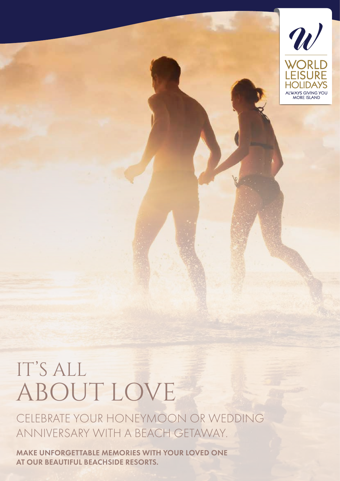

## IT'S ALL ABOUT LOVE

CELEBRATE YOUR HONEYMOON OR WEDDING ANNIVERSARY WITH A BEACH GETAWAY.

MAKE UNFORGETTABLE MEMORIES WITH YOUR LOVED ONE AT OUR BEAUTIFUL BEACHSIDE RESORTS.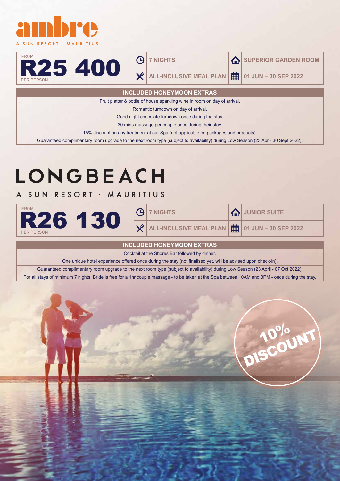

| <b>FROM</b>       |   |
|-------------------|---|
|                   | I |
|                   |   |
| <b>PER PERSON</b> |   |

#### $\Theta$

X

**7 NIGHTS A** SUPERIOR GARDEN ROOM

**ALL-INCLUSIVE MEAL PLAN 01 JUN – 30 SEP 2022**

| <b>INCLUDED HONEYMOON EXTRAS</b>                                                                                          |  |  |
|---------------------------------------------------------------------------------------------------------------------------|--|--|
| Fruit platter & bottle of house sparkling wine in room on day of arrival.                                                 |  |  |
| Romantic turndown on day of arrival.                                                                                      |  |  |
| Good night chocolate turndown once during the stay.                                                                       |  |  |
| 30 mins massage per couple once during their stay.                                                                        |  |  |
| 15% discount on any treatment at our Spa (not applicable on packages and products).                                       |  |  |
| $\Omega$ and $\Gamma$ is the contract of the contract of $\Gamma$ is the contract of $\Gamma$ is the contract of $\Gamma$ |  |  |

Guaranteed complimentary room upgrade to the next room type (subject to availability) during Low Season (23 Apr - 30 Sept 2022).

## LONGBEACH

### A SUN RESORT · MAURITIUS

| FROM              | <b>①</b> | <b>7 NIGHTS</b>                                                             | <b>TA JUNIOR SUITE</b> |
|-------------------|----------|-----------------------------------------------------------------------------|------------------------|
| <b>PER PERSON</b> | X        | ALL-INCLUSIVE MEAL PLAN $\left \frac{1}{\ln 2}\right $ 01 JUN – 30 SEP 2022 |                        |

#### **INCLUDED HONEYMOON EXTRAS**

Cocktail at the Shores Bar followed by dinner.

One unique hotel experience offered once during the stay (not finalised yet, will be advised upon check-in).

Guaranteed complimentary room upgrade to the next room type (subject to availability) during Low Season (23 April - 07 Oct 2022).

For all stays of minimum 7 nights, Bride is free for a 1hr couple massage - to be taken at the Spa between 10AM and 3PM - once during the stay.

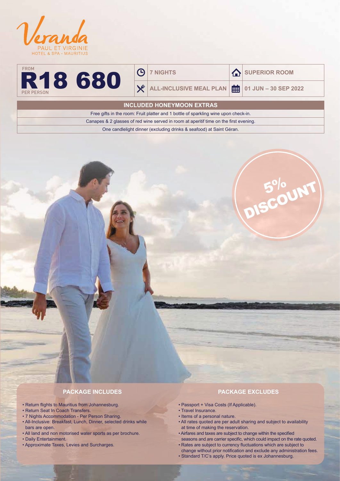



 $\Theta$ 

X

**7 NIGHTS A** SUPERIOR ROOM

**ALL-INCLUSIVE MEAL PLAN 01 JUN – 30 SEP 2022**

**INCLUDED HONEYMOON EXTRAS**

Free gifts in the room: Fruit platter and 1 bottle of sparkling wine upon check-in.

Canapes & 2 glasses of red wine served in room at aperitif time on the first evening.

One candlelight dinner (excluding drinks & seafood) at Saint Géran.

# 5% DISCOUNT

#### **PACKAGE INCLUDES**

- Return flights to Mauritius from Johannesburg.
- Return Seat In Coach Transfers.
- 7 Nights Accommodation Per Person Sharing.
- All-Inclusive: Breakfast, Lunch, Dinner, selected drinks while bars are open.
- All land and non motorised water sports as per brochure.
- Daily Entertainment.
- Approximate Taxes, Levies and Surcharges.

#### **PACKAGE EXCLUDES**

- Passport + Visa Costs (If Applicable).
- Travel Insurance.
- Items of a personal nature.
- All rates quoted are per adult sharing and subject to availability at time of making the reservation.
- Airfares and taxes are subject to change within the specified
- seasons and are carrier specific, which could impact on the rate quoted. • Rates are subject to currency fluctuations which are subject to change without prior notification and exclude any administration fees.
- Standard T/C's apply. Price quoted is ex Johannesburg.